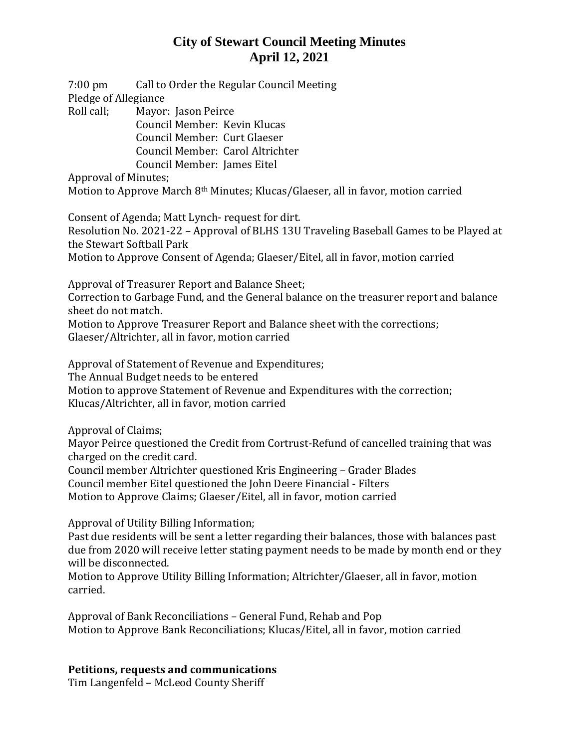7:00 pm Call to Order the Regular Council Meeting Pledge of Allegiance

Roll call; Mayor: Jason Peirce

Council Member: Kevin Klucas Council Member: Curt Glaeser Council Member: Carol Altrichter Council Member: James Eitel

Approval of Minutes;

Motion to Approve March 8th Minutes; Klucas/Glaeser, all in favor, motion carried

Consent of Agenda; Matt Lynch- request for dirt. Resolution No. 2021-22 – Approval of BLHS 13U Traveling Baseball Games to be Played at the Stewart Softball Park

Motion to Approve Consent of Agenda; Glaeser/Eitel, all in favor, motion carried

Approval of Treasurer Report and Balance Sheet;

Correction to Garbage Fund, and the General balance on the treasurer report and balance sheet do not match.

Motion to Approve Treasurer Report and Balance sheet with the corrections; Glaeser/Altrichter, all in favor, motion carried

Approval of Statement of Revenue and Expenditures; The Annual Budget needs to be entered Motion to approve Statement of Revenue and Expenditures with the correction; Klucas/Altrichter, all in favor, motion carried

Approval of Claims;

Mayor Peirce questioned the Credit from Cortrust-Refund of cancelled training that was charged on the credit card.

Council member Altrichter questioned Kris Engineering – Grader Blades Council member Eitel questioned the John Deere Financial - Filters

Motion to Approve Claims; Glaeser/Eitel, all in favor, motion carried

Approval of Utility Billing Information;

Past due residents will be sent a letter regarding their balances, those with balances past due from 2020 will receive letter stating payment needs to be made by month end or they will be disconnected.

Motion to Approve Utility Billing Information; Altrichter/Glaeser, all in favor, motion carried.

Approval of Bank Reconciliations – General Fund, Rehab and Pop Motion to Approve Bank Reconciliations; Klucas/Eitel, all in favor, motion carried

#### **Petitions, requests and communications**

Tim Langenfeld – McLeod County Sheriff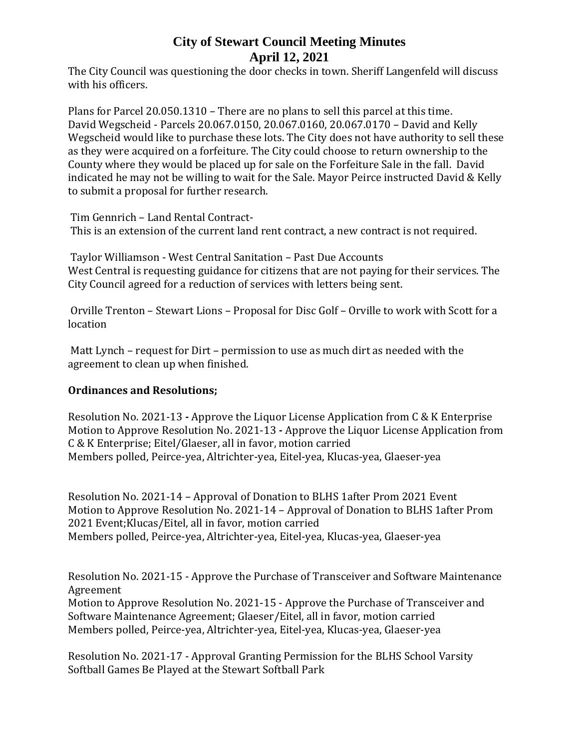The City Council was questioning the door checks in town. Sheriff Langenfeld will discuss with his officers.

Plans for Parcel 20.050.1310 – There are no plans to sell this parcel at this time. David Wegscheid - Parcels 20.067.0150, 20.067.0160, 20.067.0170 – David and Kelly Wegscheid would like to purchase these lots. The City does not have authority to sell these as they were acquired on a forfeiture. The City could choose to return ownership to the County where they would be placed up for sale on the Forfeiture Sale in the fall. David indicated he may not be willing to wait for the Sale. Mayor Peirce instructed David & Kelly to submit a proposal for further research.

Tim Gennrich – Land Rental Contract-This is an extension of the current land rent contract, a new contract is not required.

Taylor Williamson - West Central Sanitation – Past Due Accounts West Central is requesting guidance for citizens that are not paying for their services. The City Council agreed for a reduction of services with letters being sent.

Orville Trenton – Stewart Lions – Proposal for Disc Golf – Orville to work with Scott for a location

Matt Lynch – request for Dirt – permission to use as much dirt as needed with the agreement to clean up when finished.

#### **Ordinances and Resolutions;**

Resolution No. 2021-13 **-** Approve the Liquor License Application from C & K Enterprise Motion to Approve Resolution No. 2021-13 **-** Approve the Liquor License Application from C & K Enterprise; Eitel/Glaeser, all in favor, motion carried Members polled, Peirce-yea, Altrichter-yea, Eitel-yea, Klucas-yea, Glaeser-yea

Resolution No. 2021-14 – Approval of Donation to BLHS 1after Prom 2021 Event Motion to Approve Resolution No. 2021-14 – Approval of Donation to BLHS 1after Prom 2021 Event;Klucas/Eitel, all in favor, motion carried Members polled, Peirce-yea, Altrichter-yea, Eitel-yea, Klucas-yea, Glaeser-yea

Resolution No. 2021-15 - Approve the Purchase of Transceiver and Software Maintenance Agreement

Motion to Approve Resolution No. 2021-15 - Approve the Purchase of Transceiver and Software Maintenance Agreement; Glaeser/Eitel, all in favor, motion carried Members polled, Peirce-yea, Altrichter-yea, Eitel-yea, Klucas-yea, Glaeser-yea

Resolution No. 2021-17 - Approval Granting Permission for the BLHS School Varsity Softball Games Be Played at the Stewart Softball Park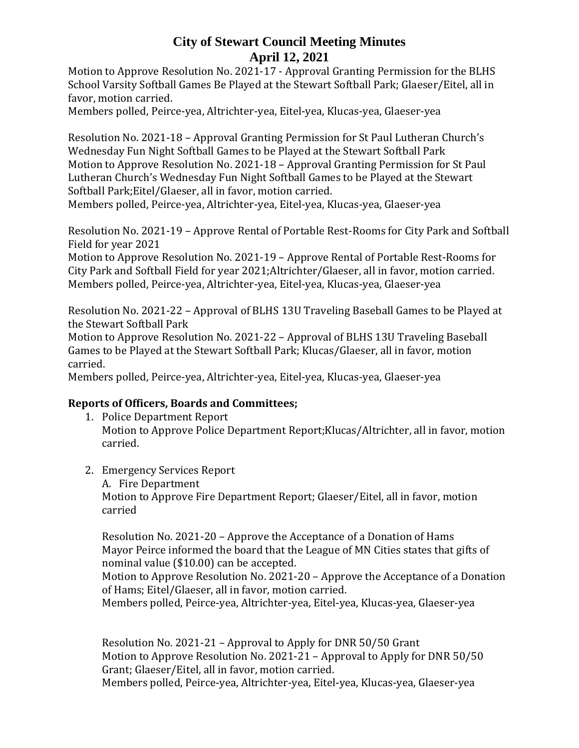Motion to Approve Resolution No. 2021-17 - Approval Granting Permission for the BLHS School Varsity Softball Games Be Played at the Stewart Softball Park; Glaeser/Eitel, all in favor, motion carried.

Members polled, Peirce-yea, Altrichter-yea, Eitel-yea, Klucas-yea, Glaeser-yea

Resolution No. 2021-18 – Approval Granting Permission for St Paul Lutheran Church's Wednesday Fun Night Softball Games to be Played at the Stewart Softball Park Motion to Approve Resolution No. 2021-18 – Approval Granting Permission for St Paul Lutheran Church's Wednesday Fun Night Softball Games to be Played at the Stewart Softball Park;Eitel/Glaeser, all in favor, motion carried.

Members polled, Peirce-yea, Altrichter-yea, Eitel-yea, Klucas-yea, Glaeser-yea

Resolution No. 2021-19 – Approve Rental of Portable Rest-Rooms for City Park and Softball Field for year 2021

Motion to Approve Resolution No. 2021-19 – Approve Rental of Portable Rest-Rooms for City Park and Softball Field for year 2021;Altrichter/Glaeser, all in favor, motion carried. Members polled, Peirce-yea, Altrichter-yea, Eitel-yea, Klucas-yea, Glaeser-yea

Resolution No. 2021-22 – Approval of BLHS 13U Traveling Baseball Games to be Played at the Stewart Softball Park

Motion to Approve Resolution No. 2021-22 – Approval of BLHS 13U Traveling Baseball Games to be Played at the Stewart Softball Park; Klucas/Glaeser, all in favor, motion carried.

Members polled, Peirce-yea, Altrichter-yea, Eitel-yea, Klucas-yea, Glaeser-yea

#### **Reports of Officers, Boards and Committees;**

- 1. Police Department Report Motion to Approve Police Department Report;Klucas/Altrichter, all in favor, motion carried.
- 2. Emergency Services Report
	- A. Fire Department

Motion to Approve Fire Department Report; Glaeser/Eitel, all in favor, motion carried

Resolution No. 2021-20 – Approve the Acceptance of a Donation of Hams Mayor Peirce informed the board that the League of MN Cities states that gifts of nominal value (\$10.00) can be accepted.

Motion to Approve Resolution No. 2021-20 – Approve the Acceptance of a Donation of Hams; Eitel/Glaeser, all in favor, motion carried.

Members polled, Peirce-yea, Altrichter-yea, Eitel-yea, Klucas-yea, Glaeser-yea

Resolution No. 2021-21 – Approval to Apply for DNR 50/50 Grant Motion to Approve Resolution No. 2021-21 – Approval to Apply for DNR 50/50 Grant; Glaeser/Eitel, all in favor, motion carried. Members polled, Peirce-yea, Altrichter-yea, Eitel-yea, Klucas-yea, Glaeser-yea